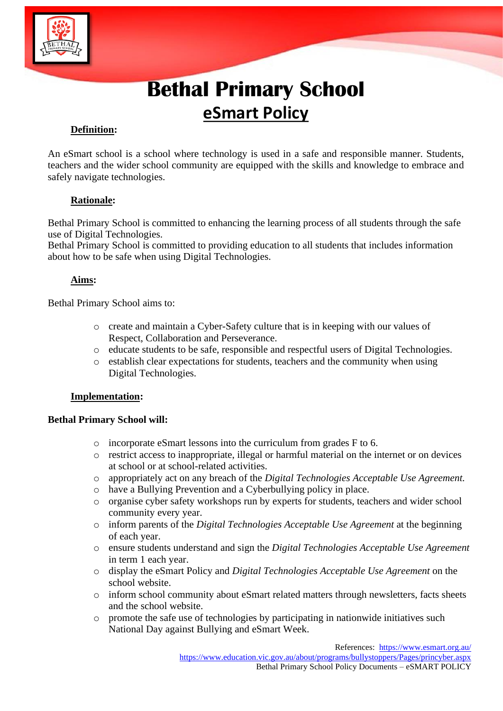

# **eSmart Policy**

# **Definition:**

**Bethal Primary School**<br> **ESTING TRIMATY SCHOOL**<br> **ESTING TRIMATY SCHOOL**<br>
School ommunity are equipped with the skills and knowledge to embrace and<br>
recomments the equipped with the skills and knowledge to embrace and<br>
re An eSmart school is a school where technology is used in a safe and responsible manner. Students, teachers and the wider school community are equipped with the skills and knowledge to embrace and safely navigate technologies.

## **Rationale:**

Bethal Primary School is committed to enhancing the learning process of all students through the safe use of Digital Technologies.

Bethal Primary School is committed to providing education to all students that includes information about how to be safe when using Digital Technologies.

## **Aims:**

Bethal Primary School aims to:

- o create and maintain a Cyber-Safety culture that is in keeping with our values of Respect, Collaboration and Perseverance.
- o educate students to be safe, responsible and respectful users of Digital Technologies.
- o establish clear expectations for students, teachers and the community when using Digital Technologies.

## **Implementation:**

## **Bethal Primary School will:**

- o incorporate eSmart lessons into the curriculum from grades F to 6.
- o restrict access to inappropriate, illegal or harmful material on the internet or on devices at school or at school-related activities.
- o appropriately act on any breach of the *Digital Technologies Acceptable Use Agreement.*
- o have a Bullying Prevention and a Cyberbullying policy in place.
- o organise cyber safety workshops run by experts for students, teachers and wider school community every year.
- o inform parents of the *Digital Technologies Acceptable Use Agreement* at the beginning of each year.
- o ensure students understand and sign the *Digital Technologies Acceptable Use Agreement* in term 1 each year.
- o display the eSmart Policy and *Digital Technologies Acceptable Use Agreement* on the school website.
- o inform school community about eSmart related matters through newsletters, facts sheets and the school website.
- o promote the safe use of technologies by participating in nationwide initiatives such National Day against Bullying and eSmart Week.

References:<https://www.esmart.org.au/>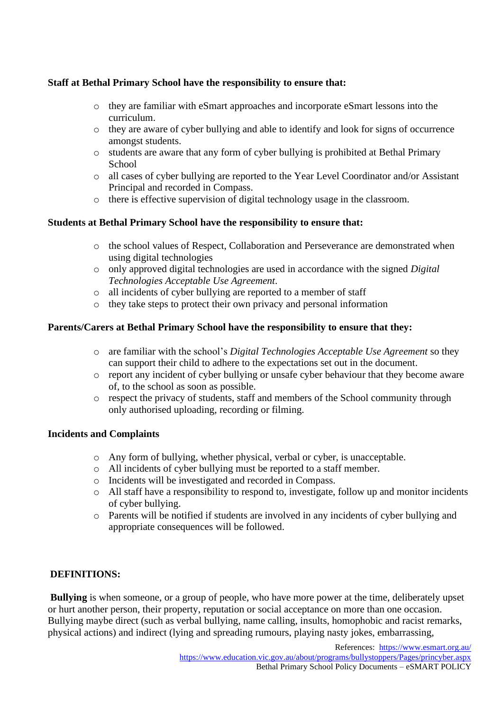## **Staff at Bethal Primary School have the responsibility to ensure that:**

- o they are familiar with eSmart approaches and incorporate eSmart lessons into the curriculum.
- o they are aware of cyber bullying and able to identify and look for signs of occurrence amongst students.
- o students are aware that any form of cyber bullying is prohibited at Bethal Primary **School**
- o all cases of cyber bullying are reported to the Year Level Coordinator and/or Assistant Principal and recorded in Compass.
- o there is effective supervision of digital technology usage in the classroom.

#### **Students at Bethal Primary School have the responsibility to ensure that:**

- o the school values of Respect, Collaboration and Perseverance are demonstrated when using digital technologies
- o only approved digital technologies are used in accordance with the signed *Digital Technologies Acceptable Use Agreement*.
- o all incidents of cyber bullying are reported to a member of staff
- o they take steps to protect their own privacy and personal information

#### **Parents/Carers at Bethal Primary School have the responsibility to ensure that they:**

- o are familiar with the school's *Digital Technologies Acceptable Use Agreement* so they can support their child to adhere to the expectations set out in the document.
- o report any incident of cyber bullying or unsafe cyber behaviour that they become aware of, to the school as soon as possible.
- o respect the privacy of students, staff and members of the School community through only authorised uploading, recording or filming.

#### **Incidents and Complaints**

- o Any form of bullying, whether physical, verbal or cyber, is unacceptable.
- o All incidents of cyber bullying must be reported to a staff member.
- o Incidents will be investigated and recorded in Compass.
- o All staff have a responsibility to respond to, investigate, follow up and monitor incidents of cyber bullying.
- o Parents will be notified if students are involved in any incidents of cyber bullying and appropriate consequences will be followed.

#### **DEFINITIONS:**

**Bullying** is when someone, or a group of people, who have more power at the time, deliberately upset or hurt another person, their property, reputation or social acceptance on more than one occasion. Bullying maybe direct (such as verbal bullying, name calling, insults, homophobic and racist remarks, physical actions) and indirect (lying and spreading rumours, playing nasty jokes, embarrassing,